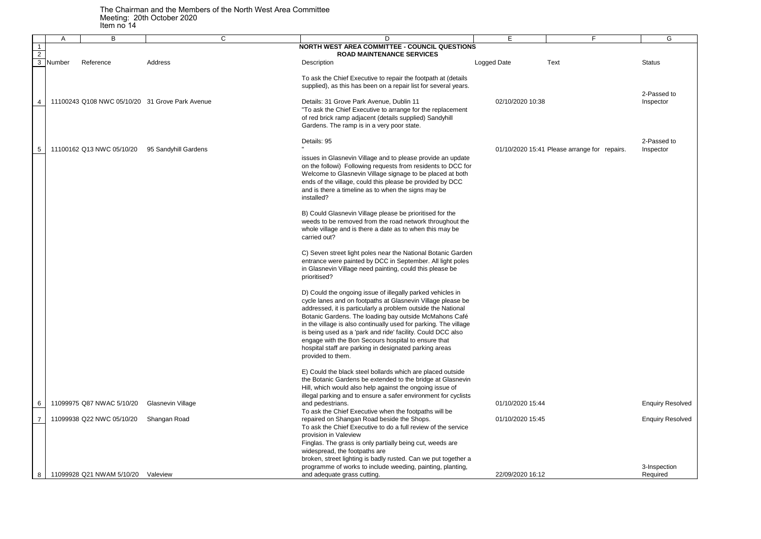|                                    | A      | B                         | $\mathsf{C}$                                    | D                                                                                                                         | E                | F.                                           | G                       |
|------------------------------------|--------|---------------------------|-------------------------------------------------|---------------------------------------------------------------------------------------------------------------------------|------------------|----------------------------------------------|-------------------------|
| $\overline{1}$                     |        |                           |                                                 | NORTH WEST AREA COMMITTEE - COUNCIL QUESTIONS                                                                             |                  |                                              |                         |
| $\overline{2}$                     |        |                           |                                                 | <b>ROAD MAINTENANCE SERVICES</b>                                                                                          |                  |                                              |                         |
| $\overline{\overline{\mathbf{3}}}$ | Number | Reference                 | Address                                         | Description                                                                                                               | Logged Date      | Text                                         | <b>Status</b>           |
|                                    |        |                           |                                                 |                                                                                                                           |                  |                                              |                         |
|                                    |        |                           |                                                 | To ask the Chief Executive to repair the footpath at (details                                                             |                  |                                              |                         |
|                                    |        |                           |                                                 | supplied), as this has been on a repair list for several years.                                                           |                  |                                              | 2-Passed to             |
|                                    |        |                           | 11100243 Q108 NWC 05/10/20 31 Grove Park Avenue | Details: 31 Grove Park Avenue, Dublin 11                                                                                  | 02/10/2020 10:38 |                                              | Inspector               |
|                                    |        |                           |                                                 | "To ask the Chief Executive to arrange for the replacement                                                                |                  |                                              |                         |
|                                    |        |                           |                                                 | of red brick ramp adjacent (details supplied) Sandyhill                                                                   |                  |                                              |                         |
|                                    |        |                           |                                                 | Gardens. The ramp is in a very poor state.                                                                                |                  |                                              |                         |
|                                    |        |                           |                                                 |                                                                                                                           |                  |                                              |                         |
|                                    |        |                           |                                                 | Details: 95                                                                                                               |                  |                                              | 2-Passed to             |
| $\overline{5}$                     |        | 11100162 Q13 NWC 05/10/20 | 95 Sandyhill Gardens                            |                                                                                                                           |                  | 01/10/2020 15:41 Please arrange for repairs. | Inspector               |
|                                    |        |                           |                                                 | issues in Glasnevin Village and to please provide an update                                                               |                  |                                              |                         |
|                                    |        |                           |                                                 | on the followi) Following requests from residents to DCC for<br>Welcome to Glasnevin Village signage to be placed at both |                  |                                              |                         |
|                                    |        |                           |                                                 | ends of the village, could this please be provided by DCC                                                                 |                  |                                              |                         |
|                                    |        |                           |                                                 | and is there a timeline as to when the signs may be                                                                       |                  |                                              |                         |
|                                    |        |                           |                                                 | installed?                                                                                                                |                  |                                              |                         |
|                                    |        |                           |                                                 |                                                                                                                           |                  |                                              |                         |
|                                    |        |                           |                                                 | B) Could Glasnevin Village please be prioritised for the                                                                  |                  |                                              |                         |
|                                    |        |                           |                                                 | weeds to be removed from the road network throughout the<br>whole village and is there a date as to when this may be      |                  |                                              |                         |
|                                    |        |                           |                                                 | carried out?                                                                                                              |                  |                                              |                         |
|                                    |        |                           |                                                 |                                                                                                                           |                  |                                              |                         |
|                                    |        |                           |                                                 | C) Seven street light poles near the National Botanic Garden                                                              |                  |                                              |                         |
|                                    |        |                           |                                                 | entrance were painted by DCC in September. All light poles                                                                |                  |                                              |                         |
|                                    |        |                           |                                                 | in Glasnevin Village need painting, could this please be                                                                  |                  |                                              |                         |
|                                    |        |                           |                                                 | prioritised?                                                                                                              |                  |                                              |                         |
|                                    |        |                           |                                                 | D) Could the ongoing issue of illegally parked vehicles in                                                                |                  |                                              |                         |
|                                    |        |                           |                                                 | cycle lanes and on footpaths at Glasnevin Village please be                                                               |                  |                                              |                         |
|                                    |        |                           |                                                 | addressed, it is particularly a problem outside the National                                                              |                  |                                              |                         |
|                                    |        |                           |                                                 | Botanic Gardens. The loading bay outside McMahons Café                                                                    |                  |                                              |                         |
|                                    |        |                           |                                                 | in the village is also continually used for parking. The village                                                          |                  |                                              |                         |
|                                    |        |                           |                                                 | is being used as a 'park and ride' facility. Could DCC also                                                               |                  |                                              |                         |
|                                    |        |                           |                                                 | engage with the Bon Secours hospital to ensure that<br>hospital staff are parking in designated parking areas             |                  |                                              |                         |
|                                    |        |                           |                                                 | provided to them.                                                                                                         |                  |                                              |                         |
|                                    |        |                           |                                                 |                                                                                                                           |                  |                                              |                         |
|                                    |        |                           |                                                 | E) Could the black steel bollards which are placed outside                                                                |                  |                                              |                         |
|                                    |        |                           |                                                 | the Botanic Gardens be extended to the bridge at Glasnevin                                                                |                  |                                              |                         |
|                                    |        |                           |                                                 | Hill, which would also help against the ongoing issue of                                                                  |                  |                                              |                         |
| 6                                  |        | 11099975 Q87 NWAC 5/10/20 | Glasnevin Village                               | illegal parking and to ensure a safer environment for cyclists<br>and pedestrians.                                        | 01/10/2020 15:44 |                                              | <b>Enquiry Resolved</b> |
|                                    |        |                           |                                                 | To ask the Chief Executive when the footpaths will be                                                                     |                  |                                              |                         |
|                                    |        | 11099938 Q22 NWC 05/10/20 | Shangan Road                                    | repaired on Shangan Road beside the Shops.                                                                                | 01/10/2020 15:45 |                                              | <b>Enquiry Resolved</b> |
|                                    |        |                           |                                                 | To ask the Chief Executive to do a full review of the service                                                             |                  |                                              |                         |
|                                    |        |                           |                                                 | provision in Valeview                                                                                                     |                  |                                              |                         |
|                                    |        |                           |                                                 | Finglas. The grass is only partially being cut, weeds are                                                                 |                  |                                              |                         |
|                                    |        |                           |                                                 | widespread, the footpaths are<br>broken, street lighting is badly rusted. Can we put together a                           |                  |                                              |                         |
|                                    |        |                           |                                                 | programme of works to include weeding, painting, planting,                                                                |                  |                                              | 3-Inspection            |
| 8                                  |        | 11099928 Q21 NWAM 5/10/20 | Valeview                                        | and adequate grass cutting.                                                                                               | 22/09/2020 16:12 |                                              | Required                |
|                                    |        |                           |                                                 |                                                                                                                           |                  |                                              |                         |

| F                 | G                        |
|-------------------|--------------------------|
|                   | <b>Status</b>            |
|                   | 2-Passed to<br>Inspector |
| ange for repairs. | 2-Passed to<br>Inspector |
|                   |                          |
|                   |                          |
|                   |                          |
|                   |                          |
|                   |                          |
|                   |                          |
|                   | <b>Enquiry Resolved</b>  |
|                   | <b>Enquiry Resolved</b>  |
|                   | 3-Inspection<br>Required |

## The Chairman and the Members of the North West Area Committee Meeting: 20th October 2020 Item no 14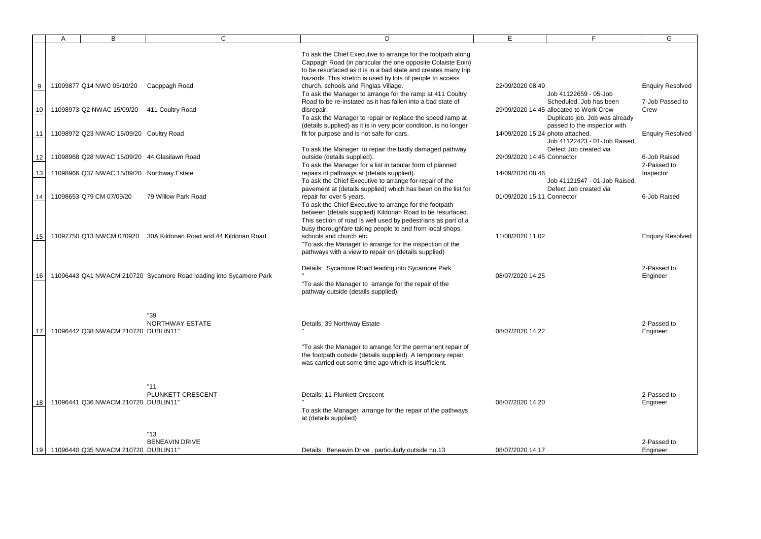|     | B                                            | C                                                                  | D                                                                                                                                                                                                                                                          | Е                                | F                                                                                                         | G                                          |
|-----|----------------------------------------------|--------------------------------------------------------------------|------------------------------------------------------------------------------------------------------------------------------------------------------------------------------------------------------------------------------------------------------------|----------------------------------|-----------------------------------------------------------------------------------------------------------|--------------------------------------------|
|     |                                              |                                                                    | To ask the Chief Executive to arrange for the footpath along<br>Cappagh Road (in particular the one opposite Colaiste Eoin)<br>to be resurfaced as it is in a bad state and creates many trip<br>hazards. This stretch is used by lots of people to access |                                  |                                                                                                           |                                            |
| 9   | 11099877 Q14 NWC 05/10/20                    | Caoppagh Road                                                      | church, schools and Finglas Village.<br>To ask the Manager to arrange for the ramp at 411 Coultry<br>Road to be re-instated as it has fallen into a bad state of                                                                                           | 22/09/2020 08:49                 | Job 41122659 - 05-Job<br>Scheduled, Job has been                                                          | <b>Enquiry Resolved</b><br>7-Job Passed to |
| 10  | 11098973 Q2 NWAC 15/09/20                    | 411 Coultry Road                                                   | disrepair.<br>To ask the Manager to repair or replace the speed ramp at<br>(details supplied) as it is in very poor condition, is no longer                                                                                                                |                                  | 29/09/2020 14:45 allocated to Work Crew<br>Duplicate job. Job was already<br>passed to the inspector with | Crew                                       |
| -11 | 11098972 Q23 NWAC 15/09/20 Coultry Road      |                                                                    | fit for purpose and is not safe for cars.                                                                                                                                                                                                                  | 14/09/2020 15:24 photo attached. | Job 41122423 - 01-Job Raised,                                                                             | <b>Enquiry Resolved</b>                    |
| 12  | 11098968 Q28 NWAC 15/09/20 44 Glasilawn Road |                                                                    | To ask the Manager to repair the badly damaged pathway<br>outside (details supplied).<br>To ask the Manager for a list in tabular form of planned                                                                                                          | 29/09/2020 14:45 Connector       | Defect Job created via                                                                                    | 6-Job Raised<br>2-Passed to                |
| 13  | 11098966 Q37 NWAC 15/09/20 Northway Estate   |                                                                    | repairs of pathways at (details supplied).<br>To ask the Chief Executive to arrange for repair of the<br>pavement at (details supplied) which has been on the list for                                                                                     | 14/09/2020 08:46                 | Job 41121547 - 01-Job Raised.<br>Defect Job created via                                                   | Inspector                                  |
| 14  | 11098653 Q79 CM 07/09/20                     | 79 Willow Park Road                                                | repair for over 5 years.<br>To ask the Chief Executive to arrange for the footpath<br>between (details supplied) Kildonan Road to be resurfaced.<br>This section of road is well used by pedestrians as part of a                                          | 01/09/2020 15:11 Connector       |                                                                                                           | 6-Job Raised                               |
| 15  |                                              | 11097750 Q13 NWCM 070920 30A Kildonan Road and 44 Kildonan Road.   | busy thoroughfare taking people to and from local shops,<br>schools and church etc.<br>"To ask the Manager to arrange for the inspection of the<br>pathways with a view to repair on (details supplied)                                                    | 11/08/2020 11:02                 |                                                                                                           | <b>Enquiry Resolved</b>                    |
| 16  |                                              | 11096443 Q41 NWACM 210720 Sycamore Road leading into Sycamore Park | Details: Sycamore Road leading into Sycamore Park<br>"To ask the Manager to arrange for the repair of the<br>pathway outside (details supplied)                                                                                                            | 08/07/2020 14:25                 |                                                                                                           | 2-Passed to<br>Engineer                    |
|     | 11096442 Q38 NWACM 210720 DUBLIN11"          | "39<br>NORTHWAY ESTATE                                             | Details: 39 Northway Estate                                                                                                                                                                                                                                | 08/07/2020 14:22                 |                                                                                                           | 2-Passed to<br>Engineer                    |
|     |                                              |                                                                    | "To ask the Manager to arrange for the permanent repair of<br>the footpath outside (details supplied). A temporary repair<br>was carried out some time ago which is insufficient.                                                                          |                                  |                                                                                                           |                                            |
| 18  | 11096441 Q36 NWACM 210720 DUBLIN11"          | "11"<br>PLUNKETT CRESCENT                                          | Details: 11 Plunkett Crescent<br>To ask the Manager arrange for the repair of the pathways<br>at (details supplied)                                                                                                                                        | 08/07/2020 14:20                 |                                                                                                           | 2-Passed to<br>Engineer                    |
| 19  | 11096440 Q35 NWACM 210720 DUBLIN11"          | "13"<br><b>BENEAVIN DRIVE</b>                                      | Details: Beneavin Drive, particularly outside no.13                                                                                                                                                                                                        | 08/07/2020 14:17                 |                                                                                                           | 2-Passed to<br>Engineer                    |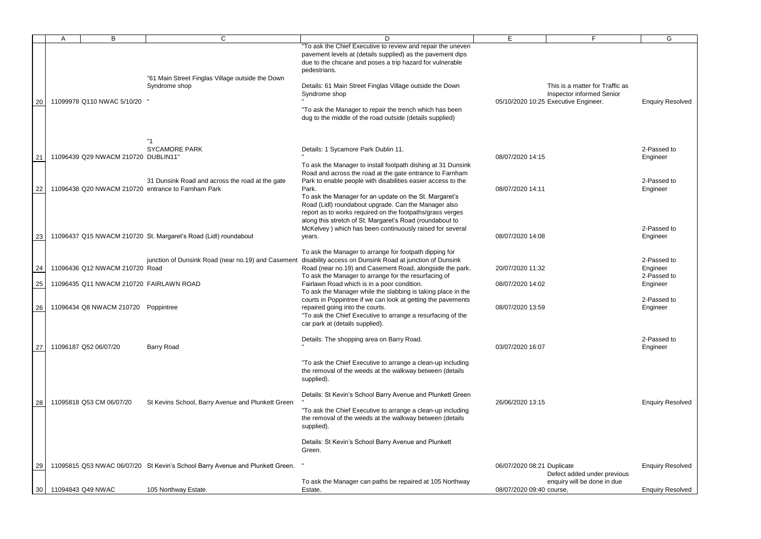|    |                                         |                                                                                                       |                                                                                                                                                                                                                                                                                                                                                                                                            |                            | E.                                                                                                   |                                        |
|----|-----------------------------------------|-------------------------------------------------------------------------------------------------------|------------------------------------------------------------------------------------------------------------------------------------------------------------------------------------------------------------------------------------------------------------------------------------------------------------------------------------------------------------------------------------------------------------|----------------------------|------------------------------------------------------------------------------------------------------|----------------------------------------|
|    | B                                       | $\mathsf{C}$                                                                                          | D.                                                                                                                                                                                                                                                                                                                                                                                                         | F                          |                                                                                                      | G                                      |
| 20 | 11099978 Q110 NWAC 5/10/20              | "61 Main Street Finglas Village outside the Down<br>Syndrome shop                                     | "To ask the Chief Executive to review and repair the uneven<br>pavement levels at (details supplied) as the pavement dips<br>due to the chicane and poses a trip hazard for vulnerable<br>pedestrians.<br>Details: 61 Main Street Finglas Village outside the Down<br>Syndrome shop<br>"To ask the Manager to repair the trench which has been<br>dug to the middle of the road outside (details supplied) |                            | This is a matter for Traffic as<br>Inspector informed Senior<br>05/10/2020 10:25 Executive Engineer. | <b>Enquiry Resolved</b>                |
|    |                                         |                                                                                                       |                                                                                                                                                                                                                                                                                                                                                                                                            |                            |                                                                                                      |                                        |
| 21 | 11096439 Q29 NWACM 210720 DUBLIN11'     | <b>SYCAMORE PARK</b>                                                                                  | Details: 1 Sycamore Park Dublin 11.                                                                                                                                                                                                                                                                                                                                                                        | 08/07/2020 14:15           |                                                                                                      | 2-Passed to<br>Engineer                |
| 22 |                                         | 31 Dunsink Road and across the road at the gate<br>11096438 Q20 NWACM 210720 entrance to Farnham Park | To ask the Manager to install footpath dishing at 31 Dunsink<br>Road and across the road at the gate entrance to Farnham<br>Park to enable people with disabilities easier access to the<br>Park.<br>To ask the Manager for an update on the St. Margaret's                                                                                                                                                | 08/07/2020 14:11           |                                                                                                      | 2-Passed to<br>Engineer                |
| 23 |                                         | 11096437 Q15 NWACM 210720 St. Margaret's Road (Lidl) roundabout                                       | Road (Lidl) roundabout upgrade. Can the Manager also<br>report as to works required on the footpaths/grass verges<br>along this stretch of St. Margaret's Road (roundabout to<br>McKelvey) which has been continuously raised for several<br>years.                                                                                                                                                        | 08/07/2020 14:08           |                                                                                                      | 2-Passed to<br>Engineer                |
| 24 | 11096436 Q12 NWACM 210720 Road          | junction of Dunsink Road (near no.19) and Casement                                                    | To ask the Manager to arrange for footpath dipping for<br>disability access on Dunsink Road at junction of Dunsink<br>Road (near no.19) and Casement Road, alongside the park.<br>To ask the Manager to arrange for the resurfacing of                                                                                                                                                                     | 20/07/2020 11:32           |                                                                                                      | 2-Passed to<br>Engineer<br>2-Passed to |
| 25 | 11096435 Q11 NWACM 210720 FAIRLAWN ROAD |                                                                                                       | Fairlawn Road which is in a poor condition.<br>To ask the Manager while the slabbing is taking place in the                                                                                                                                                                                                                                                                                                | 08/07/2020 14:02           |                                                                                                      | Engineer                               |
| 26 | 11096434 Q8 NWACM 210720 Poppintree     |                                                                                                       | courts in Poppintree if we can look at getting the pavements<br>repaired going into the courts.<br>"To ask the Chief Executive to arrange a resurfacing of the<br>car park at (details supplied).                                                                                                                                                                                                          | 08/07/2020 13:59           |                                                                                                      | 2-Passed to<br>Engineer                |
| 27 | 11096187 Q52 06/07/20                   | <b>Barry Road</b>                                                                                     | Details: The shopping area on Barry Road.                                                                                                                                                                                                                                                                                                                                                                  | 03/07/2020 16:07           |                                                                                                      | 2-Passed to<br>Engineer                |
| 28 | 11095818 Q53 CM 06/07/20                | St Kevins School, Barry Avenue and Plunkett Green                                                     | "To ask the Chief Executive to arrange a clean-up including<br>the removal of the weeds at the walkway between (details<br>supplied).<br>Details: St Kevin's School Barry Avenue and Plunkett Green<br>"To ask the Chief Executive to arrange a clean-up including<br>the removal of the weeds at the walkway between (details<br>supplied).<br>Details: St Kevin's School Barry Avenue and Plunkett       | 26/06/2020 13:15           |                                                                                                      | <b>Enquiry Resolved</b>                |
| 29 |                                         | 11095815 Q53 NWAC 06/07/20 St Kevin's School Barry Avenue and Plunkett Green.                         | Green.                                                                                                                                                                                                                                                                                                                                                                                                     | 06/07/2020 08:21 Duplicate |                                                                                                      | <b>Enquiry Resolved</b>                |
| 30 | 11094843 Q49 NWAC                       | 105 Northway Estate.                                                                                  | To ask the Manager can paths be repaired at 105 Northway<br>Estate.                                                                                                                                                                                                                                                                                                                                        | 08/07/2020 09:40 course,   | Defect added under previous<br>enquiry will be done in due                                           | <b>Enquiry Resolved</b>                |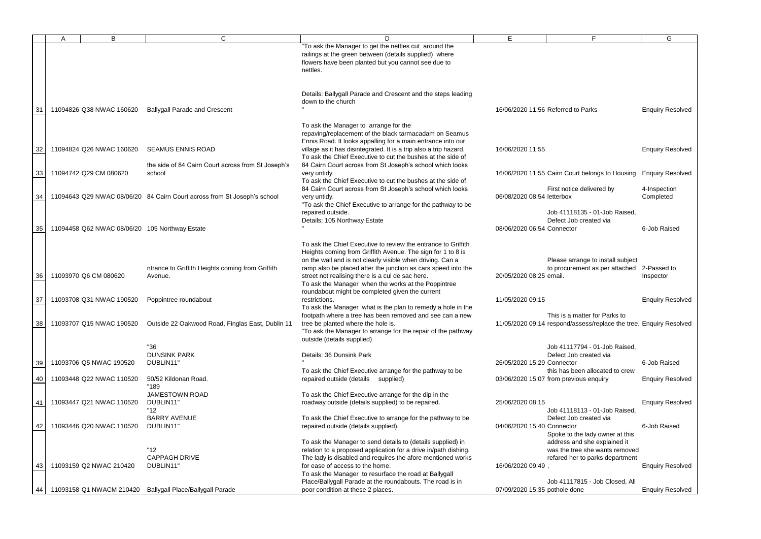|    | B                        | $\mathsf{C}$                                                             | D                                                                 | Е                             | F                                                                  | G                       |
|----|--------------------------|--------------------------------------------------------------------------|-------------------------------------------------------------------|-------------------------------|--------------------------------------------------------------------|-------------------------|
|    |                          |                                                                          | "To ask the Manager to get the nettles cut around the             |                               |                                                                    |                         |
|    |                          |                                                                          | railings at the green between (details supplied) where            |                               |                                                                    |                         |
|    |                          |                                                                          | flowers have been planted but you cannot see due to               |                               |                                                                    |                         |
|    |                          |                                                                          |                                                                   |                               |                                                                    |                         |
|    |                          |                                                                          | nettles.                                                          |                               |                                                                    |                         |
|    |                          |                                                                          |                                                                   |                               |                                                                    |                         |
|    |                          |                                                                          |                                                                   |                               |                                                                    |                         |
|    |                          |                                                                          | Details: Ballygall Parade and Crescent and the steps leading      |                               |                                                                    |                         |
|    |                          |                                                                          |                                                                   |                               |                                                                    |                         |
|    |                          |                                                                          | down to the church                                                |                               |                                                                    |                         |
| 31 | 11094826 Q38 NWAC 160620 | <b>Ballygall Parade and Crescent</b>                                     |                                                                   |                               | 16/06/2020 11:56 Referred to Parks                                 | <b>Enquiry Resolved</b> |
|    |                          |                                                                          |                                                                   |                               |                                                                    |                         |
|    |                          |                                                                          | To ask the Manager to arrange for the                             |                               |                                                                    |                         |
|    |                          |                                                                          |                                                                   |                               |                                                                    |                         |
|    |                          |                                                                          | repaving/replacement of the black tarmacadam on Seamus            |                               |                                                                    |                         |
|    |                          |                                                                          | Ennis Road. It looks appalling for a main entrance into our       |                               |                                                                    |                         |
| 32 | 11094824 Q26 NWAC 160620 | <b>SEAMUS ENNIS ROAD</b>                                                 | village as it has disintegrated. It is a trip also a trip hazard. | 16/06/2020 11:55              |                                                                    | <b>Enquiry Resolved</b> |
|    |                          |                                                                          | To ask the Chief Executive to cut the bushes at the side of       |                               |                                                                    |                         |
|    |                          |                                                                          |                                                                   |                               |                                                                    |                         |
|    |                          | the side of 84 Cairn Court across from St Joseph's                       | 84 Cairn Court across from St Joseph's school which looks         |                               |                                                                    |                         |
| 33 | 11094742 Q29 CM 080620   | school                                                                   | very untidy.                                                      |                               | 16/06/2020 11:55 Cairn Court belongs to Housing                    | <b>Enquiry Resolved</b> |
|    |                          |                                                                          | To ask the Chief Executive to cut the bushes at the side of       |                               |                                                                    |                         |
|    |                          |                                                                          | 84 Cairn Court across from St Joseph's school which looks         |                               | First notice delivered by                                          | 4-Inspection            |
|    |                          |                                                                          |                                                                   |                               |                                                                    |                         |
| 34 |                          | 11094643 Q29 NWAC 08/06/20 84 Cairn Court across from St Joseph's school | very untidy.                                                      | 06/08/2020 08:54 letterbox    |                                                                    | Completed               |
|    |                          |                                                                          | "To ask the Chief Executive to arrange for the pathway to be      |                               |                                                                    |                         |
|    |                          |                                                                          | repaired outside.                                                 |                               | Job 41118135 - 01-Job Raised,                                      |                         |
|    |                          |                                                                          | Details: 105 Northway Estate                                      |                               | Defect Job created via                                             |                         |
|    |                          |                                                                          |                                                                   |                               |                                                                    |                         |
| 35 |                          | 11094458 Q62 NWAC 08/06/20 105 Northway Estate                           |                                                                   | 08/06/2020 06:54 Connector    |                                                                    | 6-Job Raised            |
|    |                          |                                                                          |                                                                   |                               |                                                                    |                         |
|    |                          |                                                                          | To ask the Chief Executive to review the entrance to Griffith     |                               |                                                                    |                         |
|    |                          |                                                                          |                                                                   |                               |                                                                    |                         |
|    |                          |                                                                          | Heights coming from Griffith Avenue. The sign for 1 to 8 is       |                               |                                                                    |                         |
|    |                          |                                                                          | on the wall and is not clearly visible when driving. Can a        |                               | Please arrange to install subject                                  |                         |
|    |                          | ntrance to Griffith Heights coming from Griffith                         | ramp also be placed after the junction as cars speed into the     |                               | to procurement as per attached 2-Passed to                         |                         |
| 36 | 11093970 Q6 CM 080620    | Avenue.                                                                  | street not realising there is a cul de sac here.                  | 20/05/2020 08:25 email.       |                                                                    | Inspector               |
|    |                          |                                                                          | To ask the Manager when the works at the Poppintree               |                               |                                                                    |                         |
|    |                          |                                                                          |                                                                   |                               |                                                                    |                         |
|    |                          |                                                                          | roundabout might be completed given the current                   |                               |                                                                    |                         |
| 37 | 11093708 Q31 NWAC 190520 | Poppintree roundabout                                                    | restrictions.                                                     | 11/05/2020 09:15              |                                                                    | <b>Enquiry Resolved</b> |
|    |                          |                                                                          | To ask the Manager what is the plan to remedy a hole in the       |                               |                                                                    |                         |
|    |                          |                                                                          | footpath where a tree has been removed and see can a new          |                               | This is a matter for Parks to                                      |                         |
|    |                          |                                                                          |                                                                   |                               |                                                                    |                         |
| 38 | 11093707 Q15 NWAC 190520 | Outside 22 Oakwood Road, Finglas East, Dublin 11                         | tree be planted where the hole is.                                |                               | 11/05/2020 09:14 respond/assess/replace the tree. Enquiry Resolved |                         |
|    |                          |                                                                          | "To ask the Manager to arrange for the repair of the pathway      |                               |                                                                    |                         |
|    |                          |                                                                          | outside (details supplied)                                        |                               |                                                                    |                         |
|    |                          | "36                                                                      |                                                                   |                               | Job 41117794 - 01-Job Raised,                                      |                         |
|    |                          |                                                                          |                                                                   |                               |                                                                    |                         |
|    |                          | <b>DUNSINK PARK</b>                                                      | Details: 36 Dunsink Park                                          |                               | Defect Job created via                                             |                         |
| 39 | 11093706 Q5 NWAC 190520  | DUBLIN11                                                                 |                                                                   | 26/05/2020 15:29 Connector    |                                                                    | 6-Job Raised            |
|    |                          |                                                                          | To ask the Chief Executive arrange for the pathway to be          |                               | this has been allocated to crew                                    |                         |
| 40 | 11093448 Q22 NWAC 110520 | 50/52 Kildonan Road.                                                     | repaired outside (details supplied)                               |                               | 03/06/2020 15:07 from previous enquiry                             | <b>Enquiry Resolved</b> |
|    |                          |                                                                          |                                                                   |                               |                                                                    |                         |
|    |                          | "189                                                                     |                                                                   |                               |                                                                    |                         |
|    |                          | <b>JAMESTOWN ROAD</b>                                                    | To ask the Chief Executive arrange for the dip in the             |                               |                                                                    |                         |
| 41 | 11093447 Q21 NWAC 110520 | DUBLIN11'                                                                | roadway outside (details supplied) to be repaired.                | 25/06/2020 08:15              |                                                                    | <b>Enquiry Resolved</b> |
|    |                          | "12"                                                                     |                                                                   |                               | Job 41118113 - 01-Job Raised,                                      |                         |
|    |                          |                                                                          |                                                                   |                               |                                                                    |                         |
|    |                          | <b>BARRY AVENUE</b>                                                      | To ask the Chief Executive to arrange for the pathway to be       |                               | Defect Job created via                                             |                         |
| 42 | 11093446 Q20 NWAC 110520 | DUBLIN11                                                                 | repaired outside (details supplied).                              | 04/06/2020 15:40 Connector    |                                                                    | 6-Job Raised            |
|    |                          |                                                                          |                                                                   |                               | Spoke to the lady owner at this                                    |                         |
|    |                          |                                                                          | To ask the Manager to send details to (details supplied) in       |                               | address and she explained it                                       |                         |
|    |                          |                                                                          |                                                                   |                               |                                                                    |                         |
|    |                          | "12"                                                                     | relation to a proposed application for a drive in/path dishing.   |                               | was the tree she wants removed                                     |                         |
|    |                          | <b>CAPPAGH DRIVE</b>                                                     | The lady is disabled and requires the afore mentioned works       |                               | refared her to parks department                                    |                         |
| 43 | 11093159 Q2 NWAC 210420  | DUBLIN11'                                                                | for ease of access to the home.                                   | 16/06/2020 09:49              |                                                                    | <b>Enquiry Resolved</b> |
|    |                          |                                                                          | To ask the Manager to resurface the road at Ballygall             |                               |                                                                    |                         |
|    |                          |                                                                          |                                                                   |                               |                                                                    |                         |
|    |                          |                                                                          | Place/Ballygall Parade at the roundabouts. The road is in         |                               | Job 41117815 - Job Closed, All                                     |                         |
| 44 | 11093158 Q1 NWACM 210420 | <b>Ballygall Place/Ballygall Parade</b>                                  | poor condition at these 2 places.                                 | 07/09/2020 15:35 pothole done |                                                                    | <b>Enquiry Resolved</b> |
|    |                          |                                                                          |                                                                   |                               |                                                                    |                         |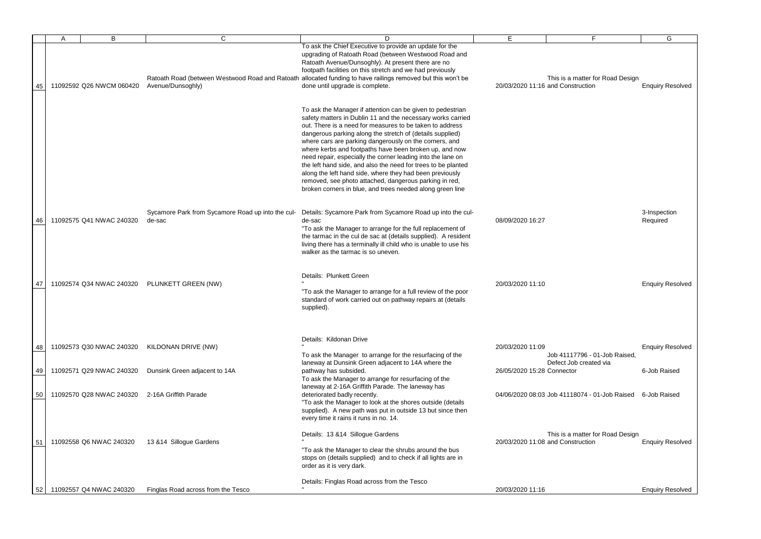|    | B                        | $\mathsf{C}$                                                | To ask the Chief Executive to provide an update for the<br>upgrading of Ratoath Road (between Westwood Road and<br>Ratoath Avenue/Dunsoghly). At present there are no                                                                                                                                                                                                                                                                                                                                                                                                                                                                                                                     | E                          |                                                                       | G                        |
|----|--------------------------|-------------------------------------------------------------|-------------------------------------------------------------------------------------------------------------------------------------------------------------------------------------------------------------------------------------------------------------------------------------------------------------------------------------------------------------------------------------------------------------------------------------------------------------------------------------------------------------------------------------------------------------------------------------------------------------------------------------------------------------------------------------------|----------------------------|-----------------------------------------------------------------------|--------------------------|
| 45 | 11092592 Q26 NWCM 060420 | Avenue/Dunsoghly)                                           | footpath facilities on this stretch and we had previously<br>Ratoath Road (between Westwood Road and Ratoath allocated funding to have railings removed but this won't be<br>done until upgrade is complete.                                                                                                                                                                                                                                                                                                                                                                                                                                                                              |                            | This is a matter for Road Design<br>20/03/2020 11:16 and Construction | <b>Enquiry Resolved</b>  |
|    |                          |                                                             | To ask the Manager if attention can be given to pedestrian<br>safety matters in Dublin 11 and the necessary works carried<br>out. There is a need for measures to be taken to address<br>dangerous parking along the stretch of (details supplied)<br>where cars are parking dangerously on the corners, and<br>where kerbs and footpaths have been broken up, and now<br>need repair, especially the corner leading into the lane on<br>the left hand side, and also the need for trees to be planted<br>along the left hand side, where they had been previously<br>removed, see photo attached, dangerous parking in red,<br>broken corners in blue, and trees needed along green line |                            |                                                                       |                          |
| 46 | 11092575 Q41 NWAC 240320 | Sycamore Park from Sycamore Road up into the cul-<br>de-sac | Details: Sycamore Park from Sycamore Road up into the cul-<br>de-sac<br>"To ask the Manager to arrange for the full replacement of<br>the tarmac in the cul de sac at (details supplied). A resident<br>living there has a terminally ill child who is unable to use his<br>walker as the tarmac is so uneven.                                                                                                                                                                                                                                                                                                                                                                            | 08/09/2020 16:27           |                                                                       | 3-Inspection<br>Required |
| 47 | 11092574 Q34 NWAC 240320 | PLUNKETT GREEN (NW)                                         | Details: Plunkett Green<br>"To ask the Manager to arrange for a full review of the poor<br>standard of work carried out on pathway repairs at (details<br>supplied).                                                                                                                                                                                                                                                                                                                                                                                                                                                                                                                      | 20/03/2020 11:10           |                                                                       | <b>Enquiry Resolved</b>  |
|    |                          |                                                             | Details: Kildonan Drive                                                                                                                                                                                                                                                                                                                                                                                                                                                                                                                                                                                                                                                                   |                            |                                                                       |                          |
| 48 | 11092573 Q30 NWAC 240320 | KILDONAN DRIVE (NW)                                         | To ask the Manager to arrange for the resurfacing of the<br>laneway at Dunsink Green adjacent to 14A where the                                                                                                                                                                                                                                                                                                                                                                                                                                                                                                                                                                            | 20/03/2020 11:09           | Job 41117796 - 01-Job Raised.<br>Defect Job created via               | <b>Enquiry Resolved</b>  |
| 49 | 11092571 Q29 NWAC 240320 | Dunsink Green adjacent to 14A                               | pathway has subsided.<br>To ask the Manager to arrange for resurfacing of the<br>laneway at 2-16A Griffith Parade. The laneway has                                                                                                                                                                                                                                                                                                                                                                                                                                                                                                                                                        | 26/05/2020 15:28 Connector |                                                                       | 6-Job Raised             |
| 50 | 11092570 Q28 NWAC 240320 | 2-16A Griffith Parade                                       | deteriorated badly recently.<br>"To ask the Manager to look at the shores outside (details<br>supplied). A new path was put in outside 13 but since then<br>every time it rains it runs in no. 14.                                                                                                                                                                                                                                                                                                                                                                                                                                                                                        |                            | 04/06/2020 08:03 Job 41118074 - 01-Job Raised                         | 6-Job Raised             |
| 51 | 11092558 Q6 NWAC 240320  | 13 & 14 Sillogue Gardens                                    | Details: 13 & 14 Sillogue Gardens                                                                                                                                                                                                                                                                                                                                                                                                                                                                                                                                                                                                                                                         |                            | This is a matter for Road Design<br>20/03/2020 11:08 and Construction | <b>Enquiry Resolved</b>  |
|    |                          |                                                             | "To ask the Manager to clear the shrubs around the bus<br>stops on (details supplied) and to check if all lights are in<br>order as it is very dark.                                                                                                                                                                                                                                                                                                                                                                                                                                                                                                                                      |                            |                                                                       |                          |
|    |                          |                                                             | Details: Finglas Road across from the Tesco                                                                                                                                                                                                                                                                                                                                                                                                                                                                                                                                                                                                                                               |                            |                                                                       |                          |
| 52 | 11092557 Q4 NWAC 240320  | Finglas Road across from the Tesco                          |                                                                                                                                                                                                                                                                                                                                                                                                                                                                                                                                                                                                                                                                                           | 20/03/2020 11:16           |                                                                       | <b>Enquiry Resolved</b>  |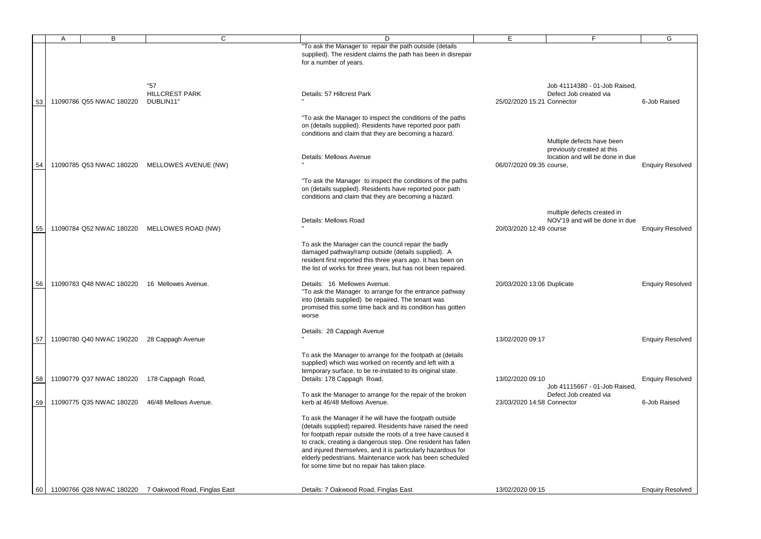|    | B                        | C                                         | "To ask the Manager to repair the path outside (details<br>supplied). The resident claims the path has been in disrepair<br>for a number of years.                                                                                                                                                                                                                                                                                   | E.                         |                                                                                              | G                       |
|----|--------------------------|-------------------------------------------|--------------------------------------------------------------------------------------------------------------------------------------------------------------------------------------------------------------------------------------------------------------------------------------------------------------------------------------------------------------------------------------------------------------------------------------|----------------------------|----------------------------------------------------------------------------------------------|-------------------------|
| 53 | 11090786 Q55 NWAC 180220 | "57<br><b>HILLCREST PARK</b><br>DUBLIN11' | Details: 57 Hillcrest Park                                                                                                                                                                                                                                                                                                                                                                                                           | 25/02/2020 15:21 Connector | Job 41114380 - 01-Job Raised,<br>Defect Job created via                                      | 6-Job Raised            |
|    |                          |                                           | "To ask the Manager to inspect the conditions of the paths<br>on (details supplied). Residents have reported poor path<br>conditions and claim that they are becoming a hazard.<br>Details: Mellows Avenue                                                                                                                                                                                                                           |                            | Multiple defects have been<br>previously created at this<br>location and will be done in due |                         |
| 54 | 11090785 Q53 NWAC 180220 | <b>MELLOWES AVENUE (NW)</b>               | "To ask the Manager to inspect the conditions of the paths<br>on (details supplied). Residents have reported poor path<br>conditions and claim that they are becoming a hazard.                                                                                                                                                                                                                                                      | 06/07/2020 09:35 course,   |                                                                                              | <b>Enquiry Resolved</b> |
| 55 | 11090784 Q52 NWAC 180220 | MELLOWES ROAD (NW)                        | Details: Mellows Road                                                                                                                                                                                                                                                                                                                                                                                                                | 20/03/2020 12:49 course    | multiple defects created in<br>NOV'19 and will be done in due                                | <b>Enquiry Resolved</b> |
|    |                          |                                           | To ask the Manager can the council repair the badly<br>damaged pathway/ramp outside (details supplied). A<br>resident first reported this three years ago. It has been on<br>the list of works for three years, but has not been repaired.                                                                                                                                                                                           |                            |                                                                                              |                         |
| 56 | 11090783 Q48 NWAC 180220 | 16 Mellowes Avenue.                       | Details: 16 Mellowes Avenue.<br>"To ask the Manager to arrange for the entrance pathway<br>into (details supplied) be repaired. The tenant was<br>promised this some time back and its condition has gotten<br>worse                                                                                                                                                                                                                 | 20/03/2020 13:06 Duplicate |                                                                                              | <b>Enquiry Resolved</b> |
| 57 | 11090780 Q40 NWAC 190220 | 28 Cappagh Avenue                         | Details: 28 Cappagh Avenue                                                                                                                                                                                                                                                                                                                                                                                                           | 13/02/2020 09:17           |                                                                                              | <b>Enquiry Resolved</b> |
| 58 | 11090779 Q37 NWAC 180220 | 178 Cappagh Road,                         | To ask the Manager to arrange for the footpath at (details<br>supplied) which was worked on recently and left with a<br>temporary surface, to be re-instated to its original state.<br>Details: 178 Cappagh Road,                                                                                                                                                                                                                    | 13/02/2020 09:10           | Job 41115667 - 01-Job Raised,                                                                | <b>Enquiry Resolved</b> |
| 59 | 11090775 Q35 NWAC 180220 | 46/48 Mellows Avenue.                     | To ask the Manager to arrange for the repair of the broken<br>kerb at 46/48 Mellows Avenue.                                                                                                                                                                                                                                                                                                                                          | 23/03/2020 14:58 Connector | Defect Job created via                                                                       | 6-Job Raised            |
|    |                          |                                           | To ask the Manager if he will have the footpath outside<br>(details supplied) repaired. Residents have raised the need<br>for footpath repair outside the roots of a tree have caused it<br>to crack, creating a dangerous step. One resident has fallen<br>and injured themselves, and it is particularly hazardous for<br>elderly pedestrians. Maintenance work has been scheduled<br>for some time but no repair has taken place. |                            |                                                                                              |                         |
| 60 | 11090766 Q28 NWAC 180220 | 7 Oakwood Road, Finglas East              | Details: 7 Oakwood Road, Finglas East                                                                                                                                                                                                                                                                                                                                                                                                | 13/02/2020 09:15           |                                                                                              | <b>Enquiry Resolved</b> |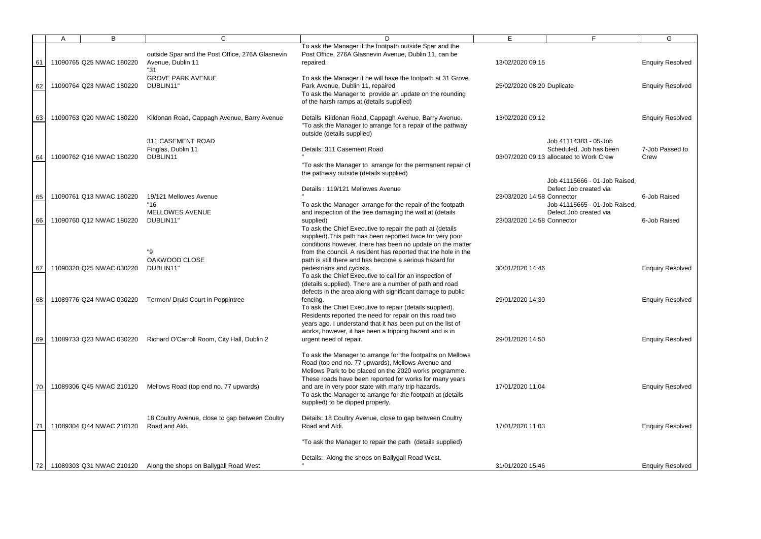|     | B                        | C                                                                            |                                                                                                                                                                                                                                                                                                                                                                                              | E                          |                                                                                                                              | G                       |
|-----|--------------------------|------------------------------------------------------------------------------|----------------------------------------------------------------------------------------------------------------------------------------------------------------------------------------------------------------------------------------------------------------------------------------------------------------------------------------------------------------------------------------------|----------------------------|------------------------------------------------------------------------------------------------------------------------------|-------------------------|
| 61  | 11090765 Q25 NWAC 180220 | outside Spar and the Post Office, 276A Glasnevin<br>Avenue, Dublin 11<br>"31 | To ask the Manager if the footpath outside Spar and the<br>Post Office, 276A Glasnevin Avenue, Dublin 11, can be<br>repaired.                                                                                                                                                                                                                                                                | 13/02/2020 09:15           |                                                                                                                              | <b>Enquiry Resolved</b> |
| 62  | 11090764 Q23 NWAC 180220 | <b>GROVE PARK AVENUE</b><br>DUBLIN11"                                        | To ask the Manager if he will have the footpath at 31 Grove<br>Park Avenue, Dublin 11, repaired<br>To ask the Manager to provide an update on the rounding<br>of the harsh ramps at (details supplied)                                                                                                                                                                                       | 25/02/2020 08:20 Duplicate |                                                                                                                              | <b>Enquiry Resolved</b> |
| 63  | 11090763 Q20 NWAC 180220 | Kildonan Road, Cappagh Avenue, Barry Avenue                                  | Details Kildonan Road, Cappagh Avenue, Barry Avenue.<br>"To ask the Manager to arrange for a repair of the pathway<br>outside (details supplied)                                                                                                                                                                                                                                             | 13/02/2020 09:12           |                                                                                                                              | <b>Enquiry Resolved</b> |
| 64  | 11090762 Q16 NWAC 180220 | 311 CASEMENT ROAD<br>Finglas, Dublin 11<br>DUBLIN11                          | Details: 311 Casement Road<br>"To ask the Manager to arrange for the permanent repair of<br>the pathway outside (details supplied)                                                                                                                                                                                                                                                           |                            | Job 41114383 - 05-Job<br>Scheduled, Job has been<br>03/07/2020 09:13 allocated to Work Crew<br>Job 41115666 - 01-Job Raised, | 7-Job Passed to<br>Crew |
| 65  | 11090761 Q13 NWAC 180220 | 19/121 Mellowes Avenue<br>"16"                                               | Details: 119/121 Mellowes Avenue<br>To ask the Manager arrange for the repair of the footpath                                                                                                                                                                                                                                                                                                | 23/03/2020 14:58 Connector | Defect Job created via<br>Job 41115665 - 01-Job Raised,                                                                      | 6-Job Raised            |
| 66  | 11090760 Q12 NWAC 180220 | MELLOWES AVENUE<br>DUBLIN11"                                                 | and inspection of the tree damaging the wall at (details<br>supplied)<br>To ask the Chief Executive to repair the path at (details<br>supplied). This path has been reported twice for very poor                                                                                                                                                                                             | 23/03/2020 14:58 Connector | Defect Job created via                                                                                                       | 6-Job Raised            |
| 67  | 11090320 Q25 NWAC 030220 | "9<br>OAKWOOD CLOSE<br>DUBLIN11"                                             | conditions however, there has been no update on the matter<br>from the council. A resident has reported that the hole in the<br>path is still there and has become a serious hazard for<br>pedestrians and cyclists.<br>To ask the Chief Executive to call for an inspection of<br>(details supplied). There are a number of path and road                                                   | 30/01/2020 14:46           |                                                                                                                              | <b>Enquiry Resolved</b> |
| 68  | 11089776 Q24 NWAC 030220 | Termon/ Druid Court in Poppintree                                            | defects in the area along with significant damage to public<br>fencing.<br>To ask the Chief Executive to repair (details supplied).<br>Residents reported the need for repair on this road two<br>years ago. I understand that it has been put on the list of                                                                                                                                | 29/01/2020 14:39           |                                                                                                                              | <b>Enquiry Resolved</b> |
| 69  | 11089733 Q23 NWAC 030220 | Richard O'Carroll Room, City Hall, Dublin 2                                  | works, however, it has been a tripping hazard and is in<br>urgent need of repair.                                                                                                                                                                                                                                                                                                            | 29/01/2020 14:50           |                                                                                                                              | <b>Enquiry Resolved</b> |
| 70  | 11089306 Q45 NWAC 210120 | Mellows Road (top end no. 77 upwards)                                        | To ask the Manager to arrange for the footpaths on Mellows<br>Road (top end no. 77 upwards), Mellows Avenue and<br>Mellows Park to be placed on the 2020 works programme.<br>These roads have been reported for works for many years<br>and are in very poor state with many trip hazards.<br>To ask the Manager to arrange for the footpath at (details<br>supplied) to be dipped properly. | 17/01/2020 11:04           |                                                                                                                              | <b>Enquiry Resolved</b> |
| -71 | 11089304 Q44 NWAC 210120 | 18 Coultry Avenue, close to gap between Coultry<br>Road and Aldi.            | Details: 18 Coultry Avenue, close to gap between Coultry<br>Road and Aldi.                                                                                                                                                                                                                                                                                                                   | 17/01/2020 11:03           |                                                                                                                              | <b>Enquiry Resolved</b> |
|     |                          |                                                                              | "To ask the Manager to repair the path (details supplied)                                                                                                                                                                                                                                                                                                                                    |                            |                                                                                                                              |                         |
| 72  | 11089303 Q31 NWAC 210120 | Along the shops on Ballygall Road West                                       | Details: Along the shops on Ballygall Road West.                                                                                                                                                                                                                                                                                                                                             | 31/01/2020 15:46           |                                                                                                                              | <b>Enquiry Resolved</b> |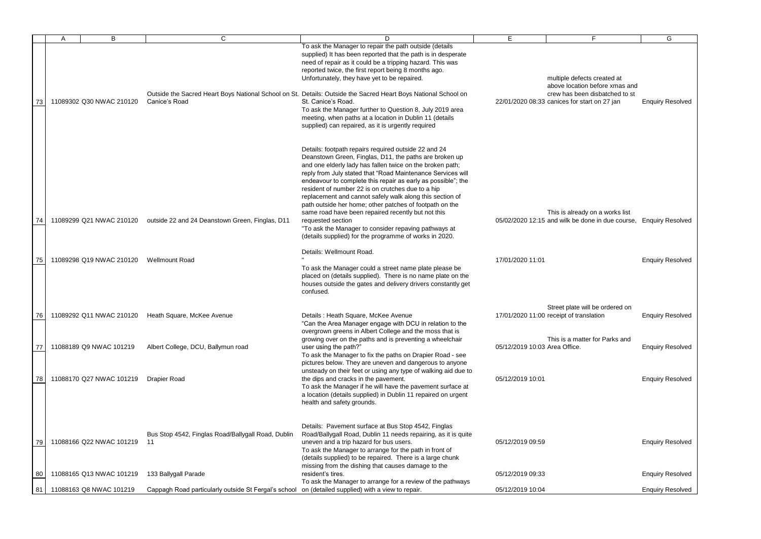|    | B                        | C                                                        |                                                                                                                                                                                                                                                                                                                                                                                                                                                                                                                                                                                                                           | E                             |                                                                                                      | G                       |
|----|--------------------------|----------------------------------------------------------|---------------------------------------------------------------------------------------------------------------------------------------------------------------------------------------------------------------------------------------------------------------------------------------------------------------------------------------------------------------------------------------------------------------------------------------------------------------------------------------------------------------------------------------------------------------------------------------------------------------------------|-------------------------------|------------------------------------------------------------------------------------------------------|-------------------------|
|    |                          |                                                          | To ask the Manager to repair the path outside (details<br>supplied) It has been reported that the path is in desperate<br>need of repair as it could be a tripping hazard. This was<br>reported twice, the first report being 8 months ago.<br>Unfortunately, they have yet to be repaired.                                                                                                                                                                                                                                                                                                                               |                               | multiple defects created at<br>above location before xmas and                                        |                         |
| 73 | 11089302 Q30 NWAC 210120 | Canice's Road                                            | Outside the Sacred Heart Boys National School on St. Details: Outside the Sacred Heart Boys National School on<br>St. Canice's Road.<br>To ask the Manager further to Question 8, July 2019 area<br>meeting, when paths at a location in Dublin 11 (details<br>supplied) can repaired, as it is urgently required                                                                                                                                                                                                                                                                                                         |                               | crew has been disbatched to st<br>22/01/2020 08:33 canices for start on 27 jan                       | <b>Enquiry Resolved</b> |
| 74 | 11089299 Q21 NWAC 210120 | outside 22 and 24 Deanstown Green, Finglas, D11          | Details: footpath repairs required outside 22 and 24<br>Deanstown Green, Finglas, D11, the paths are broken up<br>and one elderly lady has fallen twice on the broken path;<br>reply from July stated that "Road Maintenance Services will<br>endeavour to complete this repair as early as possible"; the<br>resident of number 22 is on crutches due to a hip<br>replacement and cannot safely walk along this section of<br>path outside her home; other patches of footpath on the<br>same road have been repaired recently but not this<br>requested section<br>"To ask the Manager to consider repaving pathways at |                               | This is already on a works list<br>05/02/2020 12:15 and wilk be done in due course, Enquiry Resolved |                         |
|    |                          |                                                          | (details supplied) for the programme of works in 2020.<br>Details: Wellmount Road.                                                                                                                                                                                                                                                                                                                                                                                                                                                                                                                                        |                               |                                                                                                      |                         |
| 75 | 11089298 Q19 NWAC 210120 | <b>Wellmount Road</b>                                    | To ask the Manager could a street name plate please be<br>placed on (details supplied). There is no name plate on the<br>houses outside the gates and delivery drivers constantly get<br>confused.                                                                                                                                                                                                                                                                                                                                                                                                                        | 17/01/2020 11:01              |                                                                                                      | <b>Enquiry Resolved</b> |
| 76 | 11089292 Q11 NWAC 210120 | Heath Square, McKee Avenue                               | Details: Heath Square, McKee Avenue<br>"Can the Area Manager engage with DCU in relation to the<br>overgrown greens in Albert College and the moss that is                                                                                                                                                                                                                                                                                                                                                                                                                                                                |                               | Street plate will be ordered on<br>17/01/2020 11:00 receipt of translation                           | <b>Enquiry Resolved</b> |
| 77 | 11088189 Q9 NWAC 101219  | Albert College, DCU, Ballymun road                       | growing over on the paths and is preventing a wheelchair<br>user using the path?"<br>To ask the Manager to fix the paths on Drapier Road - see<br>pictures below. They are uneven and dangerous to anyone                                                                                                                                                                                                                                                                                                                                                                                                                 | 05/12/2019 10:03 Area Office. | This is a matter for Parks and                                                                       | <b>Enquiry Resolved</b> |
| 78 | 11088170 Q27 NWAC 101219 | <b>Drapier Road</b>                                      | unsteady on their feet or using any type of walking aid due to<br>the dips and cracks in the pavement.<br>To ask the Manager if he will have the pavement surface at<br>a location (details supplied) in Dublin 11 repaired on urgent<br>health and safety grounds.                                                                                                                                                                                                                                                                                                                                                       | 05/12/2019 10:01              |                                                                                                      | <b>Enquiry Resolved</b> |
| 79 | 11088166 Q22 NWAC 101219 | Bus Stop 4542, Finglas Road/Ballygall Road, Dublin<br>11 | Details: Pavement surface at Bus Stop 4542, Finglas<br>Road/Ballygall Road, Dublin 11 needs repairing, as it is quite<br>uneven and a trip hazard for bus users.<br>To ask the Manager to arrange for the path in front of<br>(details supplied) to be repaired. There is a large chunk                                                                                                                                                                                                                                                                                                                                   | 05/12/2019 09:59              |                                                                                                      | <b>Enquiry Resolved</b> |
| 80 | 11088165 Q13 NWAC 101219 | 133 Ballygall Parade                                     | missing from the dishing that causes damage to the<br>resident's tires.<br>To ask the Manager to arrange for a review of the pathways                                                                                                                                                                                                                                                                                                                                                                                                                                                                                     | 05/12/2019 09:33              |                                                                                                      | <b>Enquiry Resolved</b> |
| 81 | 11088163 Q8 NWAC 101219  | Cappagh Road particularly outside St Fergal's school     | on (detailed supplied) with a view to repair.                                                                                                                                                                                                                                                                                                                                                                                                                                                                                                                                                                             | 05/12/2019 10:04              |                                                                                                      | <b>Enquiry Resolved</b> |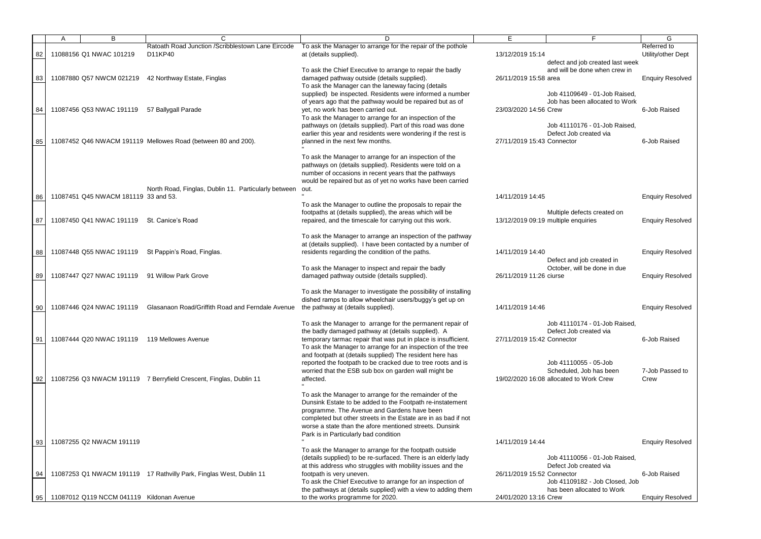|    | Α | B                                         |                                                                     |                                                                 | E.                         | Е                                       | G                       |
|----|---|-------------------------------------------|---------------------------------------------------------------------|-----------------------------------------------------------------|----------------------------|-----------------------------------------|-------------------------|
|    |   |                                           | Ratoath Road Junction /Scribblestown Lane Eircode                   | To ask the Manager to arrange for the repair of the pothole     |                            |                                         | Referred to             |
| 82 |   | 11088156 Q1 NWAC 101219                   | D11KP40                                                             | at (details supplied).                                          | 13/12/2019 15:14           |                                         | Utility/other Dept      |
|    |   |                                           |                                                                     |                                                                 |                            |                                         |                         |
|    |   |                                           |                                                                     |                                                                 |                            | defect and job created last week        |                         |
|    |   |                                           |                                                                     | To ask the Chief Executive to arrange to repair the badly       |                            | and will be done when crew in           |                         |
|    |   | 11087880 Q57 NWCM 021219                  |                                                                     |                                                                 | 26/11/2019 15:58 area      |                                         |                         |
| 83 |   |                                           | 42 Northway Estate, Finglas                                         | damaged pathway outside (details supplied).                     |                            |                                         | <b>Enquiry Resolved</b> |
|    |   |                                           |                                                                     | To ask the Manager can the laneway facing (details              |                            |                                         |                         |
|    |   |                                           |                                                                     | supplied) be inspected. Residents were informed a number        |                            | Job 41109649 - 01-Job Raised,           |                         |
|    |   |                                           |                                                                     |                                                                 |                            |                                         |                         |
|    |   |                                           |                                                                     | of years ago that the pathway would be repaired but as of       |                            | Job has been allocated to Work          |                         |
| 84 |   | 11087456 Q53 NWAC 191119                  | 57 Ballygall Parade                                                 | yet, no work has been carried out.                              | 23/03/2020 14:56 Crew      |                                         | 6-Job Raised            |
|    |   |                                           |                                                                     | To ask the Manager to arrange for an inspection of the          |                            |                                         |                         |
|    |   |                                           |                                                                     |                                                                 |                            |                                         |                         |
|    |   |                                           |                                                                     | pathways on (details supplied). Part of this road was done      |                            | Job 41110176 - 01-Job Raised,           |                         |
|    |   |                                           |                                                                     | earlier this year and residents were wondering if the rest is   |                            | Defect Job created via                  |                         |
|    |   |                                           |                                                                     |                                                                 |                            |                                         |                         |
| 85 |   |                                           | 11087452 Q46 NWACM 191119 Mellowes Road (between 80 and 200).       | planned in the next few months.                                 | 27/11/2019 15:43 Connector |                                         | 6-Job Raised            |
|    |   |                                           |                                                                     |                                                                 |                            |                                         |                         |
|    |   |                                           |                                                                     | To ask the Manager to arrange for an inspection of the          |                            |                                         |                         |
|    |   |                                           |                                                                     |                                                                 |                            |                                         |                         |
|    |   |                                           |                                                                     | pathways on (details supplied). Residents were told on a        |                            |                                         |                         |
|    |   |                                           |                                                                     | number of occasions in recent years that the pathways           |                            |                                         |                         |
|    |   |                                           |                                                                     |                                                                 |                            |                                         |                         |
|    |   |                                           |                                                                     | would be repaired but as of yet no works have been carried      |                            |                                         |                         |
|    |   |                                           | North Road, Finglas, Dublin 11. Particularly between                | out.                                                            |                            |                                         |                         |
| 86 |   | 11087451 Q45 NWACM 181119 33 and 53.      |                                                                     |                                                                 | 14/11/2019 14:45           |                                         | <b>Enquiry Resolved</b> |
|    |   |                                           |                                                                     |                                                                 |                            |                                         |                         |
|    |   |                                           |                                                                     | To ask the Manager to outline the proposals to repair the       |                            |                                         |                         |
|    |   |                                           |                                                                     | footpaths at (details supplied), the areas which will be        |                            | Multiple defects created on             |                         |
|    |   |                                           |                                                                     |                                                                 |                            |                                         |                         |
| 87 |   | 11087450 Q41 NWAC 191119                  | St. Canice's Road                                                   | repaired, and the timescale for carrying out this work.         |                            | 13/12/2019 09:19 multiple enquiries     | <b>Enquiry Resolved</b> |
|    |   |                                           |                                                                     |                                                                 |                            |                                         |                         |
|    |   |                                           |                                                                     | To ask the Manager to arrange an inspection of the pathway      |                            |                                         |                         |
|    |   |                                           |                                                                     |                                                                 |                            |                                         |                         |
|    |   |                                           |                                                                     | at (details supplied). I have been contacted by a number of     |                            |                                         |                         |
| 88 |   | 11087448 Q55 NWAC 191119                  | St Pappin's Road, Finglas.                                          | residents regarding the condition of the paths.                 | 14/11/2019 14:40           |                                         | <b>Enquiry Resolved</b> |
|    |   |                                           |                                                                     |                                                                 |                            |                                         |                         |
|    |   |                                           |                                                                     |                                                                 |                            | Defect and job created in               |                         |
|    |   |                                           |                                                                     | To ask the Manager to inspect and repair the badly              |                            | October, will be done in due            |                         |
| 89 |   | 11087447 Q27 NWAC 191119                  | 91 Willow Park Grove                                                | damaged pathway outside (details supplied).                     | 26/11/2019 11:26 ciurse    |                                         | <b>Enquiry Resolved</b> |
|    |   |                                           |                                                                     |                                                                 |                            |                                         |                         |
|    |   |                                           |                                                                     |                                                                 |                            |                                         |                         |
|    |   |                                           |                                                                     | To ask the Manager to investigate the possibility of installing |                            |                                         |                         |
|    |   |                                           |                                                                     | dished ramps to allow wheelchair users/buggy's get up on        |                            |                                         |                         |
|    |   |                                           |                                                                     |                                                                 |                            |                                         |                         |
| 90 |   | 11087446 Q24 NWAC 191119                  | Glasanaon Road/Griffith Road and Ferndale Avenue                    | the pathway at (details supplied).                              | 14/11/2019 14:46           |                                         | <b>Enquiry Resolved</b> |
|    |   |                                           |                                                                     |                                                                 |                            |                                         |                         |
|    |   |                                           |                                                                     |                                                                 |                            |                                         |                         |
|    |   |                                           |                                                                     | To ask the Manager to arrange for the permanent repair of       |                            | Job 41110174 - 01-Job Raised,           |                         |
|    |   |                                           |                                                                     | the badly damaged pathway at (details supplied). A              |                            | Defect Job created via                  |                         |
| 91 |   |                                           | 11087444 Q20 NWAC 191119 119 Mellowes Avenue                        | temporary tarmac repair that was put in place is insufficient.  | 27/11/2019 15:42 Connector |                                         | 6-Job Raised            |
|    |   |                                           |                                                                     |                                                                 |                            |                                         |                         |
|    |   |                                           |                                                                     | To ask the Manager to arrange for an inspection of the tree     |                            |                                         |                         |
|    |   |                                           |                                                                     | and footpath at (details supplied) The resident here has        |                            |                                         |                         |
|    |   |                                           |                                                                     | reported the footpath to be cracked due to tree roots and is    |                            | Job 41110055 - 05-Job                   |                         |
|    |   |                                           |                                                                     |                                                                 |                            |                                         |                         |
|    |   |                                           |                                                                     | worried that the ESB sub box on garden wall might be            |                            | Scheduled, Job has been                 | 7-Job Passed to         |
| 92 |   |                                           | 11087256 Q3 NWACM 191119 7 Berryfield Crescent, Finglas, Dublin 11  | affected.                                                       |                            | 19/02/2020 16:08 allocated to Work Crew | Crew                    |
|    |   |                                           |                                                                     |                                                                 |                            |                                         |                         |
|    |   |                                           |                                                                     |                                                                 |                            |                                         |                         |
|    |   |                                           |                                                                     | To ask the Manager to arrange for the remainder of the          |                            |                                         |                         |
|    |   |                                           |                                                                     | Dunsink Estate to be added to the Footpath re-instatement       |                            |                                         |                         |
|    |   |                                           |                                                                     |                                                                 |                            |                                         |                         |
|    |   |                                           |                                                                     | programme. The Avenue and Gardens have been                     |                            |                                         |                         |
|    |   |                                           |                                                                     | completed but other streets in the Estate are in as bad if not  |                            |                                         |                         |
|    |   |                                           |                                                                     |                                                                 |                            |                                         |                         |
|    |   |                                           |                                                                     | worse a state than the afore mentioned streets. Dunsink         |                            |                                         |                         |
|    |   |                                           |                                                                     | Park is in Particularly bad condition                           |                            |                                         |                         |
| 93 |   | 11087255 Q2 NWACM 191119                  |                                                                     |                                                                 | 14/11/2019 14:44           |                                         | <b>Enquiry Resolved</b> |
|    |   |                                           |                                                                     |                                                                 |                            |                                         |                         |
|    |   |                                           |                                                                     | To ask the Manager to arrange for the footpath outside          |                            |                                         |                         |
|    |   |                                           |                                                                     | (details supplied) to be re-surfaced. There is an elderly lady  |                            | Job 41110056 - 01-Job Raised,           |                         |
|    |   |                                           |                                                                     |                                                                 |                            |                                         |                         |
|    |   |                                           |                                                                     | at this address who struggles with mobility issues and the      |                            | Defect Job created via                  |                         |
| 94 |   |                                           | 11087253 Q1 NWACM 191119 17 Rathvilly Park, Finglas West, Dublin 11 | footpath is very uneven.                                        | 26/11/2019 15:52 Connector |                                         | 6-Job Raised            |
|    |   |                                           |                                                                     | To ask the Chief Executive to arrange for an inspection of      |                            | Job 41109182 - Job Closed, Job          |                         |
|    |   |                                           |                                                                     |                                                                 |                            |                                         |                         |
|    |   |                                           |                                                                     | the pathways at (details supplied) with a view to adding them   |                            | has been allocated to Work              |                         |
| 95 |   | 11087012 Q119 NCCM 041119 Kildonan Avenue |                                                                     | to the works programme for 2020.                                | 24/01/2020 13:16 Crew      |                                         | <b>Enquiry Resolved</b> |
|    |   |                                           |                                                                     |                                                                 |                            |                                         |                         |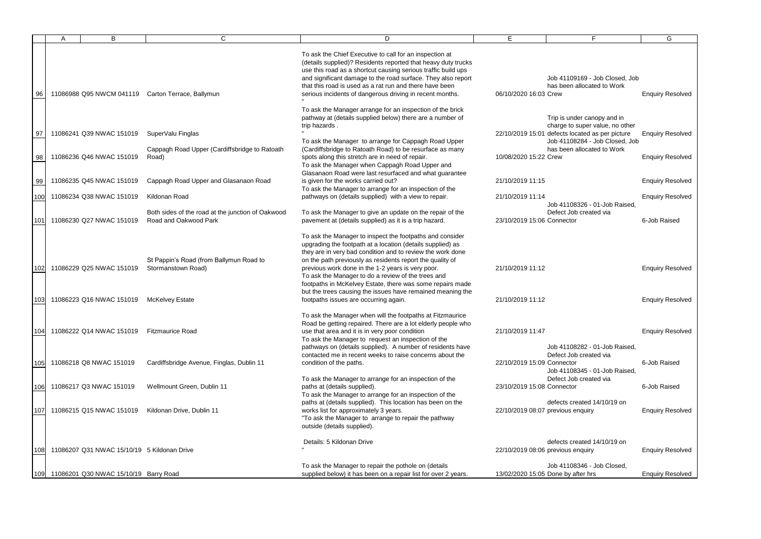|     | B                                           | $\mathsf{C}$                                                               | D                                                                                                                                                                                                                                                                                                                                                                                                                                                                                       | E.                                |                                                                                                                                                     | G                       |
|-----|---------------------------------------------|----------------------------------------------------------------------------|-----------------------------------------------------------------------------------------------------------------------------------------------------------------------------------------------------------------------------------------------------------------------------------------------------------------------------------------------------------------------------------------------------------------------------------------------------------------------------------------|-----------------------------------|-----------------------------------------------------------------------------------------------------------------------------------------------------|-------------------------|
|     |                                             |                                                                            | To ask the Chief Executive to call for an inspection at<br>(details supplied)? Residents reported that heavy duty trucks<br>use this road as a shortcut causing serious traffic build ups                                                                                                                                                                                                                                                                                               |                                   |                                                                                                                                                     |                         |
|     |                                             |                                                                            | and significant damage to the road surface. They also report<br>that this road is used as a rat run and there have been                                                                                                                                                                                                                                                                                                                                                                 |                                   | Job 41109169 - Job Closed, Job<br>has been allocated to Work                                                                                        |                         |
| 96  | 11086988 Q95 NWCM 041119                    | Carton Terrace, Ballymun                                                   | serious incidents of dangerous driving in recent months.                                                                                                                                                                                                                                                                                                                                                                                                                                | 06/10/2020 16:03 Crew             |                                                                                                                                                     | <b>Enquiry Resolved</b> |
| 97  | 11086241 Q39 NWAC 151019                    | SuperValu Finglas                                                          | To ask the Manager arrange for an inspection of the brick<br>pathway at (details supplied below) there are a number of<br>trip hazards.<br>To ask the Manager to arrange for Cappagh Road Upper                                                                                                                                                                                                                                                                                         |                                   | Trip is under canopy and in<br>charge to super value, no other<br>22/10/2019 15:01 defects located as per picture<br>Job 41108284 - Job Closed, Job | <b>Enquiry Resolved</b> |
| 98  | 11086236 Q46 NWAC 151019                    | Cappagh Road Upper (Cardiffsbridge to Ratoath<br>Road)                     | (Cardiffsbridge to Ratoath Road) to be resurface as many<br>spots along this stretch are in need of repair.<br>To ask the Manager when Cappagh Road Upper and<br>Glasanaon Road were last resurfaced and what guarantee                                                                                                                                                                                                                                                                 | 10/08/2020 15:22 Crew             | has been allocated to Work                                                                                                                          | <b>Enquiry Resolved</b> |
| 99  | 11086235 Q45 NWAC 151019                    | Cappagh Road Upper and Glasanaon Road                                      | is given for the works carried out?<br>To ask the Manager to arrange for an inspection of the                                                                                                                                                                                                                                                                                                                                                                                           | 21/10/2019 11:15                  |                                                                                                                                                     | <b>Enquiry Resolved</b> |
| 100 | 11086234 Q38 NWAC 151019                    | Kildonan Road                                                              | pathways on (details supplied) with a view to repair.                                                                                                                                                                                                                                                                                                                                                                                                                                   | 21/10/2019 11:14                  | Job 41108326 - 01-Job Raised,                                                                                                                       | <b>Enquiry Resolved</b> |
| 101 | 11086230 Q27 NWAC 151019                    | Both sides of the road at the junction of Oakwood<br>Road and Oakwood Park | To ask the Manager to give an update on the repair of the<br>pavement at (details supplied) as it is a trip hazard.                                                                                                                                                                                                                                                                                                                                                                     | 23/10/2019 15:06 Connector        | Defect Job created via                                                                                                                              | 6-Job Raised            |
| 102 | 11086229 Q25 NWAC 151019                    | St Pappin's Road (from Ballymun Road to<br>Stormanstown Road)              | To ask the Manager to inspect the footpaths and consider<br>upgrading the footpath at a location (details supplied) as<br>they are in very bad condition and to review the work done<br>on the path previously as residents report the quality of<br>previous work done in the 1-2 years is very poor.<br>To ask the Manager to do a review of the trees and<br>footpaths in McKelvey Estate, there was some repairs made<br>but the trees causing the issues have remained meaning the | 21/10/2019 11:12                  |                                                                                                                                                     | <b>Enquiry Resolved</b> |
| 103 | 11086223 Q16 NWAC 151019                    | <b>McKelvey Estate</b>                                                     | footpaths issues are occurring again.                                                                                                                                                                                                                                                                                                                                                                                                                                                   | 21/10/2019 11:12                  |                                                                                                                                                     | <b>Enquiry Resolved</b> |
| 104 | 11086222 Q14 NWAC 151019                    | <b>Fitzmaurice Road</b>                                                    | To ask the Manager when will the footpaths at Fitzmaurice<br>Road be getting repaired. There are a lot elderly people who<br>use that area and it is in very poor condition<br>To ask the Manager to request an inspection of the<br>pathways on (details supplied). A number of residents have<br>contacted me in recent weeks to raise concerns about the                                                                                                                             | 21/10/2019 11:47                  | Job 41108282 - 01-Job Raised,<br>Defect Job created via                                                                                             | <b>Enquiry Resolved</b> |
| 105 | 11086218 Q8 NWAC 151019                     | Cardiffsbridge Avenue, Finglas, Dublin 11                                  | condition of the paths.                                                                                                                                                                                                                                                                                                                                                                                                                                                                 | 22/10/2019 15:09 Connector        | Job 41108345 - 01-Job Raised.                                                                                                                       | 6-Job Raised            |
| 106 | 11086217 Q3 NWAC 151019                     | Wellmount Green, Dublin 11                                                 | To ask the Manager to arrange for an inspection of the<br>paths at (details supplied).<br>To ask the Manager to arrange for an inspection of the                                                                                                                                                                                                                                                                                                                                        | 23/10/2019 15:08 Connector        | Defect Job created via                                                                                                                              | 6-Job Raised            |
| 107 | 11086215 Q15 NWAC 151019                    | Kildonan Drive, Dublin 11                                                  | paths at (details supplied). This location has been on the<br>works list for approximately 3 years.<br>"To ask the Manager to arrange to repair the pathway<br>outside (details supplied).                                                                                                                                                                                                                                                                                              | 22/10/2019 08:07 previous enquiry | defects created 14/10/19 on                                                                                                                         | <b>Enquiry Resolved</b> |
| 108 | 11086207 Q31 NWAC 15/10/19 5 Kildonan Drive |                                                                            | Details: 5 Kildonan Drive                                                                                                                                                                                                                                                                                                                                                                                                                                                               | 22/10/2019 08:06 previous enquiry | defects created 14/10/19 on                                                                                                                         | <b>Enquiry Resolved</b> |
| 109 | 11086201 Q30 NWAC 15/10/19 Barry Road       |                                                                            | To ask the Manager to repair the pothole on (details<br>supplied below) it has been on a repair list for over 2 years.                                                                                                                                                                                                                                                                                                                                                                  |                                   | Job 41108346 - Job Closed,<br>13/02/2020 15:05 Done by after hrs                                                                                    | <b>Enquiry Resolved</b> |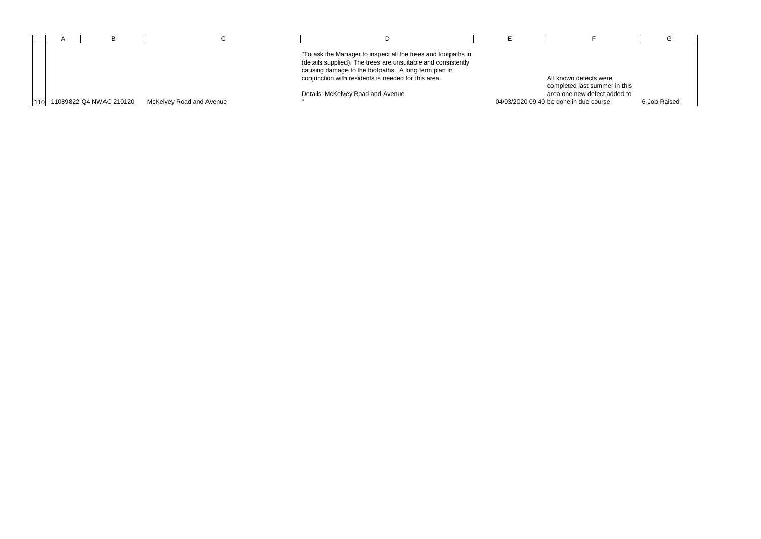|  |                         |                          | (details supplied). The trees are unsuitable and consistently<br>causing damage to the footpaths. A long term plan in<br>conjunction with residents is needed for this area. | "To ask the Manager to inspect all the trees and footpaths in | All known defects were                                        |              |
|--|-------------------------|--------------------------|------------------------------------------------------------------------------------------------------------------------------------------------------------------------------|---------------------------------------------------------------|---------------------------------------------------------------|--------------|
|  |                         |                          | Details: McKelvey Road and Avenue                                                                                                                                            |                                                               | completed last summer in this<br>area one new defect added to |              |
|  | 11089822 Q4 NWAC 210120 | McKelvey Road and Avenue |                                                                                                                                                                              |                                                               | 04/03/2020 09:40 be done in due course,                       | 6-Job Raised |